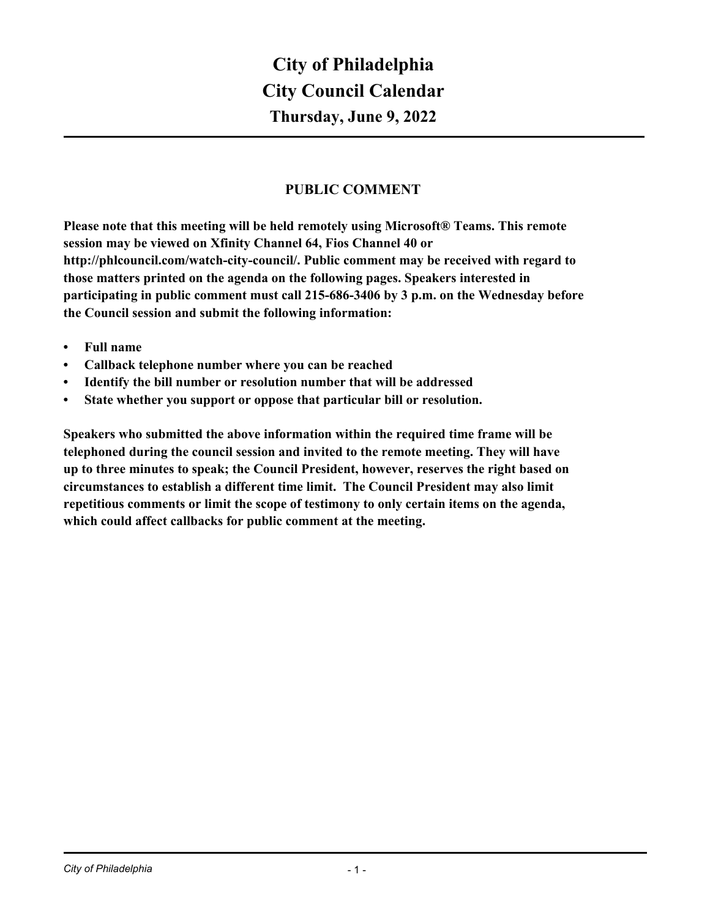# **City of Philadelphia Thursday, June 9, 2022 City Council Calendar**

# **PUBLIC COMMENT**

**Please note that this meeting will be held remotely using Microsoft® Teams. This remote session may be viewed on Xfinity Channel 64, Fios Channel 40 or http://phlcouncil.com/watch-city-council/. Public comment may be received with regard to those matters printed on the agenda on the following pages. Speakers interested in participating in public comment must call 215-686-3406 by 3 p.m. on the Wednesday before the Council session and submit the following information:**

- **• Full name**
- **• Callback telephone number where you can be reached**
- **• Identify the bill number or resolution number that will be addressed**
- **• State whether you support or oppose that particular bill or resolution.**

**Speakers who submitted the above information within the required time frame will be telephoned during the council session and invited to the remote meeting. They will have up to three minutes to speak; the Council President, however, reserves the right based on circumstances to establish a different time limit. The Council President may also limit repetitious comments or limit the scope of testimony to only certain items on the agenda, which could affect callbacks for public comment at the meeting.**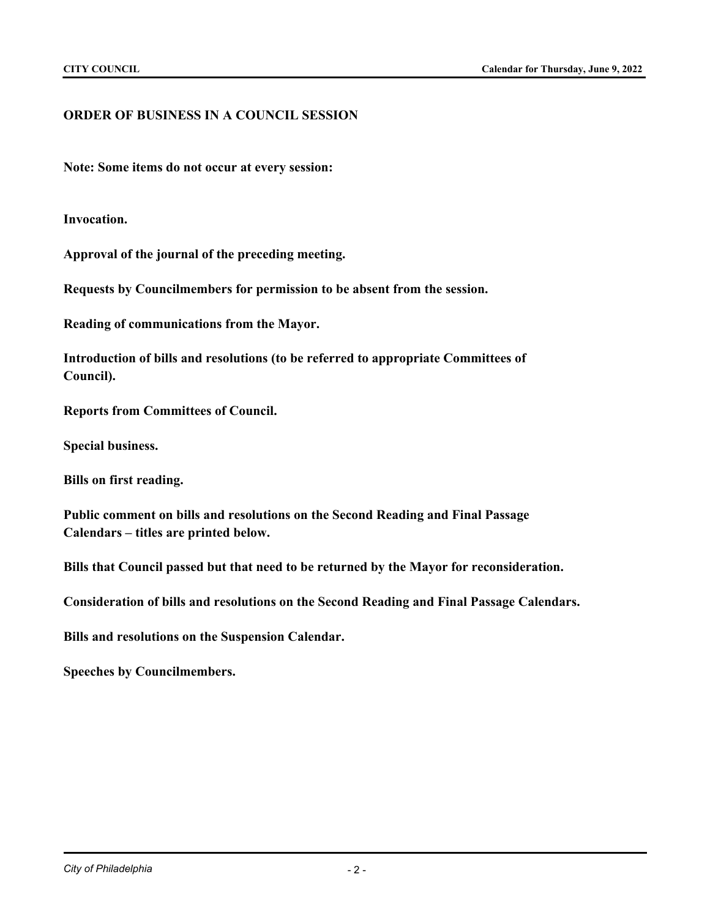# **ORDER OF BUSINESS IN A COUNCIL SESSION**

**Note: Some items do not occur at every session:**

**Invocation.**

**Approval of the journal of the preceding meeting.**

**Requests by Councilmembers for permission to be absent from the session.**

**Reading of communications from the Mayor.**

**Introduction of bills and resolutions (to be referred to appropriate Committees of Council).**

**Reports from Committees of Council.**

**Special business.**

**Bills on first reading.**

**Public comment on bills and resolutions on the Second Reading and Final Passage Calendars – titles are printed below.**

**Bills that Council passed but that need to be returned by the Mayor for reconsideration.**

**Consideration of bills and resolutions on the Second Reading and Final Passage Calendars.**

**Bills and resolutions on the Suspension Calendar.**

**Speeches by Councilmembers.**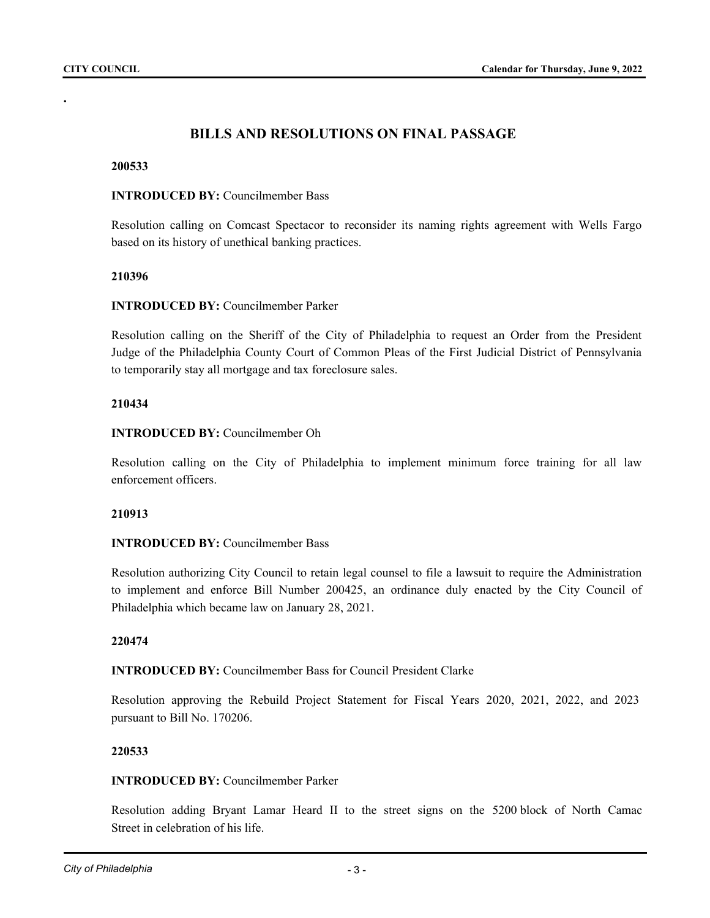**.**

# **BILLS AND RESOLUTIONS ON FINAL PASSAGE**

#### **200533**

#### **INTRODUCED BY:** Councilmember Bass

Resolution calling on Comcast Spectacor to reconsider its naming rights agreement with Wells Fargo based on its history of unethical banking practices.

#### **210396**

# **INTRODUCED BY:** Councilmember Parker

Resolution calling on the Sheriff of the City of Philadelphia to request an Order from the President Judge of the Philadelphia County Court of Common Pleas of the First Judicial District of Pennsylvania to temporarily stay all mortgage and tax foreclosure sales.

## **210434**

# **INTRODUCED BY:** Councilmember Oh

Resolution calling on the City of Philadelphia to implement minimum force training for all law enforcement officers.

#### **210913**

# **INTRODUCED BY:** Councilmember Bass

Resolution authorizing City Council to retain legal counsel to file a lawsuit to require the Administration to implement and enforce Bill Number 200425, an ordinance duly enacted by the City Council of Philadelphia which became law on January 28, 2021.

#### **220474**

**INTRODUCED BY:** Councilmember Bass for Council President Clarke

Resolution approving the Rebuild Project Statement for Fiscal Years 2020, 2021, 2022, and 2023 pursuant to Bill No. 170206.

#### **220533**

# **INTRODUCED BY:** Councilmember Parker

Resolution adding Bryant Lamar Heard II to the street signs on the 5200 block of North Camac Street in celebration of his life.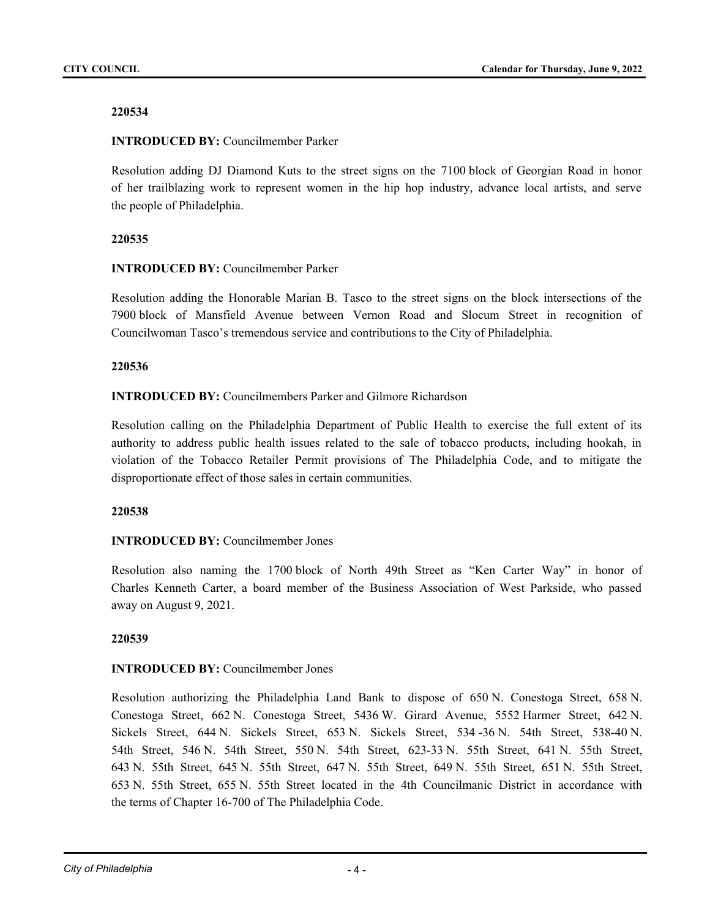# **INTRODUCED BY:** Councilmember Parker

Resolution adding DJ Diamond Kuts to the street signs on the 7100 block of Georgian Road in honor of her trailblazing work to represent women in the hip hop industry, advance local artists, and serve the people of Philadelphia.

# **220535**

## **INTRODUCED BY:** Councilmember Parker

Resolution adding the Honorable Marian B. Tasco to the street signs on the block intersections of the 7900 block of Mansfield Avenue between Vernon Road and Slocum Street in recognition of Councilwoman Tasco's tremendous service and contributions to the City of Philadelphia.

## **220536**

## **INTRODUCED BY:** Councilmembers Parker and Gilmore Richardson

Resolution calling on the Philadelphia Department of Public Health to exercise the full extent of its authority to address public health issues related to the sale of tobacco products, including hookah, in violation of the Tobacco Retailer Permit provisions of The Philadelphia Code, and to mitigate the disproportionate effect of those sales in certain communities.

#### **220538**

# **INTRODUCED BY:** Councilmember Jones

Resolution also naming the 1700 block of North 49th Street as "Ken Carter Way" in honor of Charles Kenneth Carter, a board member of the Business Association of West Parkside, who passed away on August 9, 2021.

#### **220539**

# **INTRODUCED BY:** Councilmember Jones

Resolution authorizing the Philadelphia Land Bank to dispose of 650 N. Conestoga Street, 658 N. Conestoga Street, 662 N. Conestoga Street, 5436 W. Girard Avenue, 5552 Harmer Street, 642 N. Sickels Street, 644 N. Sickels Street, 653 N. Sickels Street, 534 -36 N. 54th Street, 538-40 N. 54th Street, 546 N. 54th Street, 550 N. 54th Street, 623-33 N. 55th Street, 641 N. 55th Street, 643 N. 55th Street, 645 N. 55th Street, 647 N. 55th Street, 649 N. 55th Street, 651 N. 55th Street, 653 N. 55th Street, 655 N. 55th Street located in the 4th Councilmanic District in accordance with the terms of Chapter 16-700 of The Philadelphia Code.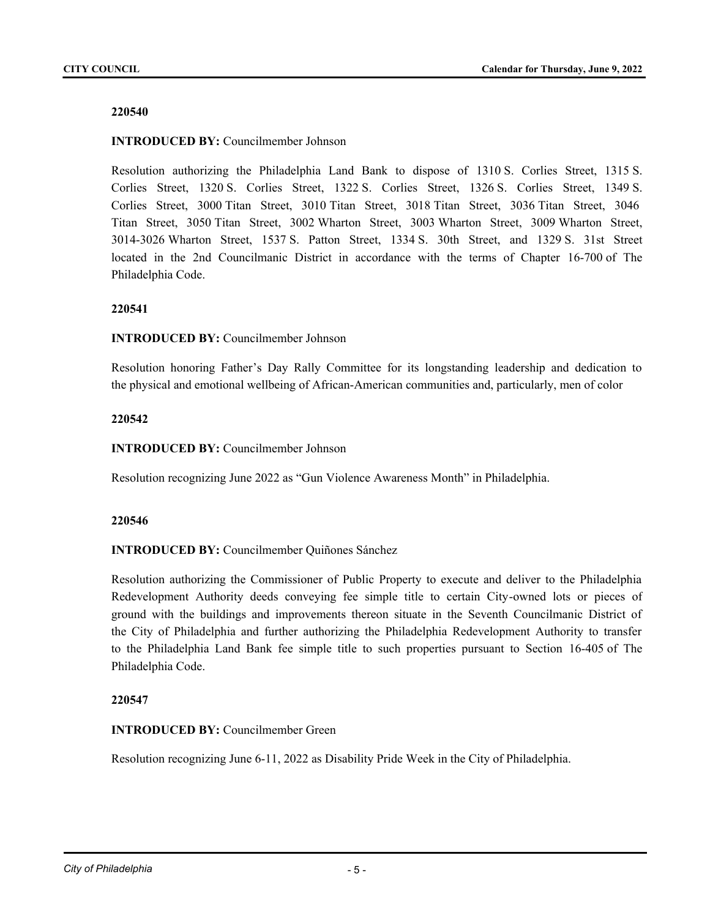# **INTRODUCED BY:** Councilmember Johnson

Resolution authorizing the Philadelphia Land Bank to dispose of 1310 S. Corlies Street, 1315 S. Corlies Street, 1320 S. Corlies Street, 1322 S. Corlies Street, 1326 S. Corlies Street, 1349 S. Corlies Street, 3000 Titan Street, 3010 Titan Street, 3018 Titan Street, 3036 Titan Street, 3046 Titan Street, 3050 Titan Street, 3002 Wharton Street, 3003 Wharton Street, 3009 Wharton Street, 3014-3026 Wharton Street, 1537 S. Patton Street, 1334 S. 30th Street, and 1329 S. 31st Street located in the 2nd Councilmanic District in accordance with the terms of Chapter 16-700 of The Philadelphia Code.

## **220541**

## **INTRODUCED BY:** Councilmember Johnson

Resolution honoring Father's Day Rally Committee for its longstanding leadership and dedication to the physical and emotional wellbeing of African-American communities and, particularly, men of color

## **220542**

**INTRODUCED BY:** Councilmember Johnson

Resolution recognizing June 2022 as "Gun Violence Awareness Month" in Philadelphia.

#### **220546**

#### **INTRODUCED BY:** Councilmember Quiñones Sánchez

Resolution authorizing the Commissioner of Public Property to execute and deliver to the Philadelphia Redevelopment Authority deeds conveying fee simple title to certain City-owned lots or pieces of ground with the buildings and improvements thereon situate in the Seventh Councilmanic District of the City of Philadelphia and further authorizing the Philadelphia Redevelopment Authority to transfer to the Philadelphia Land Bank fee simple title to such properties pursuant to Section 16-405 of The Philadelphia Code.

#### **220547**

#### **INTRODUCED BY:** Councilmember Green

Resolution recognizing June 6-11, 2022 as Disability Pride Week in the City of Philadelphia.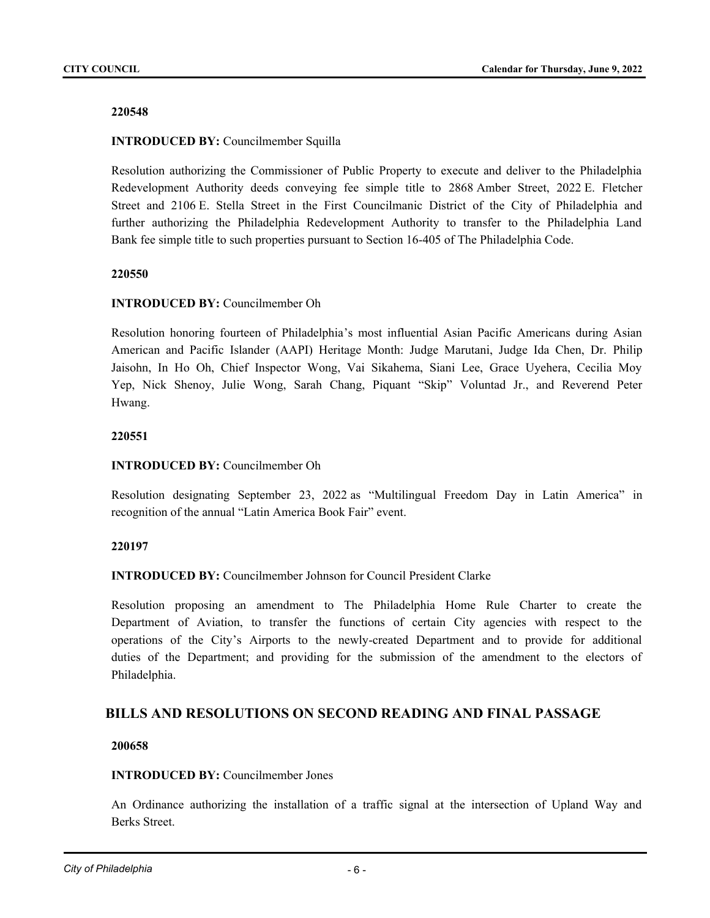# **INTRODUCED BY:** Councilmember Squilla

Resolution authorizing the Commissioner of Public Property to execute and deliver to the Philadelphia Redevelopment Authority deeds conveying fee simple title to 2868 Amber Street, 2022 E. Fletcher Street and 2106 E. Stella Street in the First Councilmanic District of the City of Philadelphia and further authorizing the Philadelphia Redevelopment Authority to transfer to the Philadelphia Land Bank fee simple title to such properties pursuant to Section 16-405 of The Philadelphia Code.

## **220550**

## **INTRODUCED BY:** Councilmember Oh

Resolution honoring fourteen of Philadelphia's most influential Asian Pacific Americans during Asian American and Pacific Islander (AAPI) Heritage Month: Judge Marutani, Judge Ida Chen, Dr. Philip Jaisohn, In Ho Oh, Chief Inspector Wong, Vai Sikahema, Siani Lee, Grace Uyehera, Cecilia Moy Yep, Nick Shenoy, Julie Wong, Sarah Chang, Piquant "Skip" Voluntad Jr., and Reverend Peter Hwang.

## **220551**

# **INTRODUCED BY:** Councilmember Oh

Resolution designating September 23, 2022 as "Multilingual Freedom Day in Latin America" in recognition of the annual "Latin America Book Fair" event.

#### **220197**

**INTRODUCED BY:** Councilmember Johnson for Council President Clarke

Resolution proposing an amendment to The Philadelphia Home Rule Charter to create the Department of Aviation, to transfer the functions of certain City agencies with respect to the operations of the City's Airports to the newly-created Department and to provide for additional duties of the Department; and providing for the submission of the amendment to the electors of Philadelphia.

# **BILLS AND RESOLUTIONS ON SECOND READING AND FINAL PASSAGE**

#### **200658**

#### **INTRODUCED BY:** Councilmember Jones

An Ordinance authorizing the installation of a traffic signal at the intersection of Upland Way and Berks Street.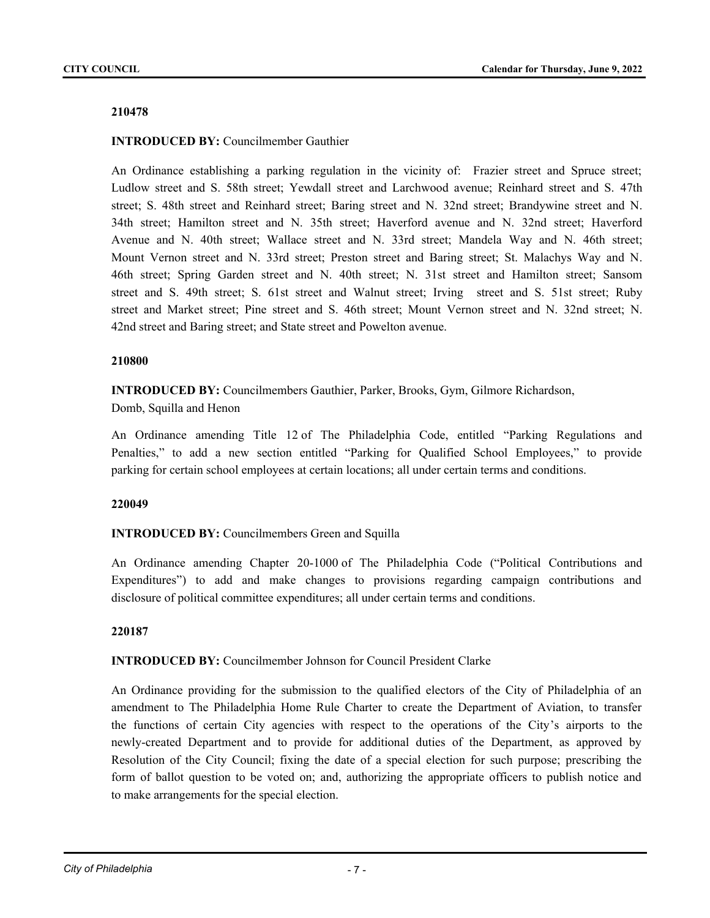# **INTRODUCED BY:** Councilmember Gauthier

An Ordinance establishing a parking regulation in the vicinity of: Frazier street and Spruce street; Ludlow street and S. 58th street; Yewdall street and Larchwood avenue; Reinhard street and S. 47th street; S. 48th street and Reinhard street; Baring street and N. 32nd street; Brandywine street and N. 34th street; Hamilton street and N. 35th street; Haverford avenue and N. 32nd street; Haverford Avenue and N. 40th street; Wallace street and N. 33rd street; Mandela Way and N. 46th street; Mount Vernon street and N. 33rd street; Preston street and Baring street; St. Malachys Way and N. 46th street; Spring Garden street and N. 40th street; N. 31st street and Hamilton street; Sansom street and S. 49th street; S. 61st street and Walnut street; Irving street and S. 51st street; Ruby street and Market street; Pine street and S. 46th street; Mount Vernon street and N. 32nd street; N. 42nd street and Baring street; and State street and Powelton avenue.

## **210800**

**INTRODUCED BY:** Councilmembers Gauthier, Parker, Brooks, Gym, Gilmore Richardson, Domb, Squilla and Henon

An Ordinance amending Title 12 of The Philadelphia Code, entitled "Parking Regulations and Penalties," to add a new section entitled "Parking for Qualified School Employees," to provide parking for certain school employees at certain locations; all under certain terms and conditions.

#### **220049**

# **INTRODUCED BY:** Councilmembers Green and Squilla

An Ordinance amending Chapter 20-1000 of The Philadelphia Code ("Political Contributions and Expenditures") to add and make changes to provisions regarding campaign contributions and disclosure of political committee expenditures; all under certain terms and conditions.

#### **220187**

# **INTRODUCED BY:** Councilmember Johnson for Council President Clarke

An Ordinance providing for the submission to the qualified electors of the City of Philadelphia of an amendment to The Philadelphia Home Rule Charter to create the Department of Aviation, to transfer the functions of certain City agencies with respect to the operations of the City's airports to the newly-created Department and to provide for additional duties of the Department, as approved by Resolution of the City Council; fixing the date of a special election for such purpose; prescribing the form of ballot question to be voted on; and, authorizing the appropriate officers to publish notice and to make arrangements for the special election.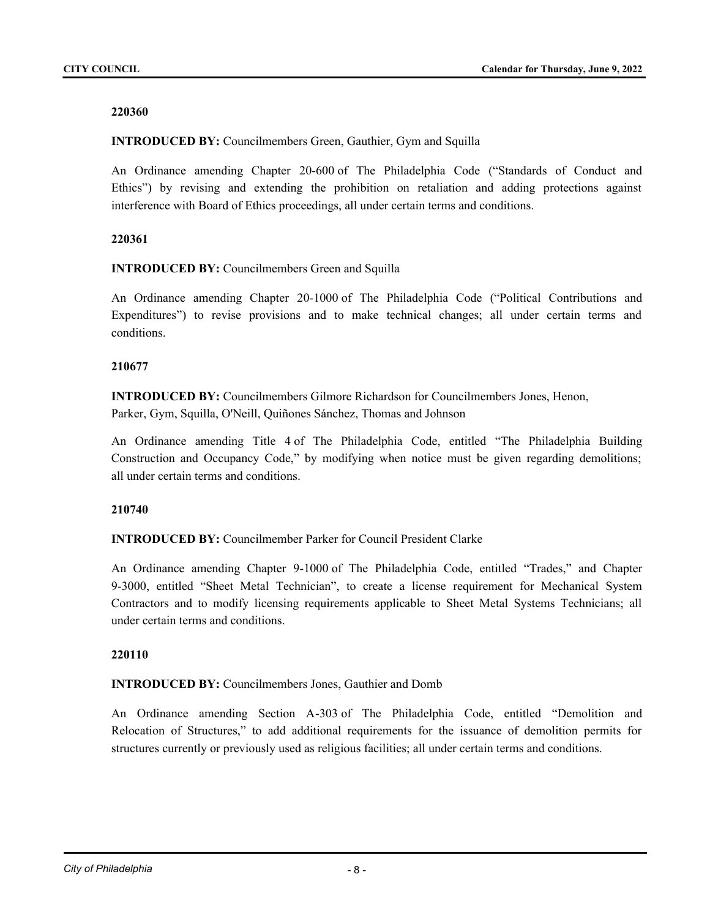**INTRODUCED BY:** Councilmembers Green, Gauthier, Gym and Squilla

An Ordinance amending Chapter 20-600 of The Philadelphia Code ("Standards of Conduct and Ethics") by revising and extending the prohibition on retaliation and adding protections against interference with Board of Ethics proceedings, all under certain terms and conditions.

## **220361**

## **INTRODUCED BY:** Councilmembers Green and Squilla

An Ordinance amending Chapter 20-1000 of The Philadelphia Code ("Political Contributions and Expenditures") to revise provisions and to make technical changes; all under certain terms and conditions.

## **210677**

**INTRODUCED BY:** Councilmembers Gilmore Richardson for Councilmembers Jones, Henon, Parker, Gym, Squilla, O'Neill, Quiñones Sánchez, Thomas and Johnson

An Ordinance amending Title 4 of The Philadelphia Code, entitled "The Philadelphia Building Construction and Occupancy Code," by modifying when notice must be given regarding demolitions; all under certain terms and conditions.

# **210740**

**INTRODUCED BY:** Councilmember Parker for Council President Clarke

An Ordinance amending Chapter 9-1000 of The Philadelphia Code, entitled "Trades," and Chapter 9-3000, entitled "Sheet Metal Technician", to create a license requirement for Mechanical System Contractors and to modify licensing requirements applicable to Sheet Metal Systems Technicians; all under certain terms and conditions.

#### **220110**

#### **INTRODUCED BY:** Councilmembers Jones, Gauthier and Domb

An Ordinance amending Section A-303 of The Philadelphia Code, entitled "Demolition and Relocation of Structures," to add additional requirements for the issuance of demolition permits for structures currently or previously used as religious facilities; all under certain terms and conditions.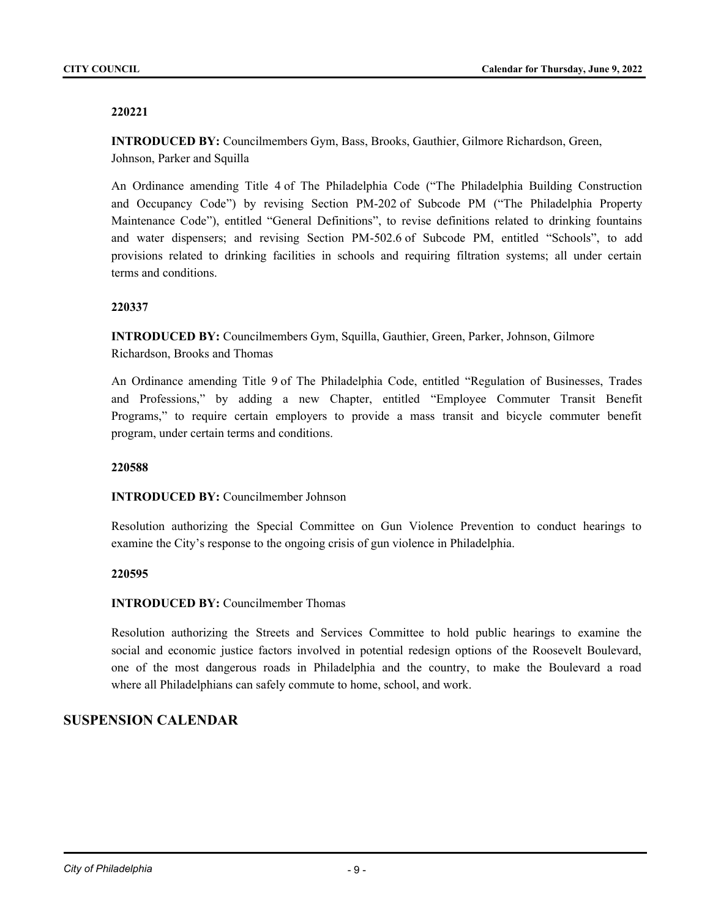**INTRODUCED BY:** Councilmembers Gym, Bass, Brooks, Gauthier, Gilmore Richardson, Green, Johnson, Parker and Squilla

An Ordinance amending Title 4 of The Philadelphia Code ("The Philadelphia Building Construction and Occupancy Code") by revising Section PM-202 of Subcode PM ("The Philadelphia Property Maintenance Code"), entitled "General Definitions", to revise definitions related to drinking fountains and water dispensers; and revising Section PM-502.6 of Subcode PM, entitled "Schools", to add provisions related to drinking facilities in schools and requiring filtration systems; all under certain terms and conditions.

## **220337**

**INTRODUCED BY:** Councilmembers Gym, Squilla, Gauthier, Green, Parker, Johnson, Gilmore Richardson, Brooks and Thomas

An Ordinance amending Title 9 of The Philadelphia Code, entitled "Regulation of Businesses, Trades and Professions," by adding a new Chapter, entitled "Employee Commuter Transit Benefit Programs," to require certain employers to provide a mass transit and bicycle commuter benefit program, under certain terms and conditions.

#### **220588**

# **INTRODUCED BY:** Councilmember Johnson

Resolution authorizing the Special Committee on Gun Violence Prevention to conduct hearings to examine the City's response to the ongoing crisis of gun violence in Philadelphia.

#### **220595**

# **INTRODUCED BY:** Councilmember Thomas

Resolution authorizing the Streets and Services Committee to hold public hearings to examine the social and economic justice factors involved in potential redesign options of the Roosevelt Boulevard, one of the most dangerous roads in Philadelphia and the country, to make the Boulevard a road where all Philadelphians can safely commute to home, school, and work.

# **SUSPENSION CALENDAR**